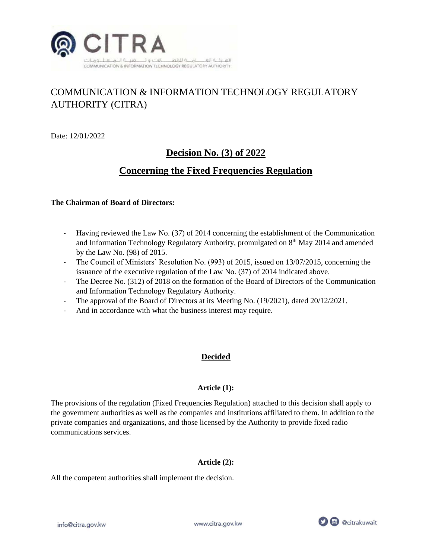

# COMMUNICATION & INFORMATION TECHNOLOGY REGULATORY AUTHORITY (CITRA)

Date: 12/01/2022

## **Decision No. (3) of 2022**

## **Concerning the Fixed Frequencies Regulation**

#### **The Chairman of Board of Directors:**

- Having reviewed the Law No. (37) of 2014 concerning the establishment of the Communication and Information Technology Regulatory Authority, promulgated on 8<sup>th</sup> May 2014 and amended by the Law No. (98) of 2015.
- The Council of Ministers' Resolution No. (993) of 2015, issued on 13/07/2015, concerning the issuance of the executive regulation of the Law No. (37) of 2014 indicated above.
- The Decree No. (312) of 2018 on the formation of the Board of Directors of the Communication and Information Technology Regulatory Authority.
- The approval of the Board of Directors at its Meeting No. (19/2021), dated 20/12/2021.
- And in accordance with what the business interest may require.

## **Decided**

## **Article (1):**

The provisions of the regulation (Fixed Frequencies Regulation) attached to this decision shall apply to the government authorities as well as the companies and institutions affiliated to them. In addition to the private companies and organizations, and those licensed by the Authority to provide fixed radio communications services.

## **Article (2):**

All the competent authorities shall implement the decision.